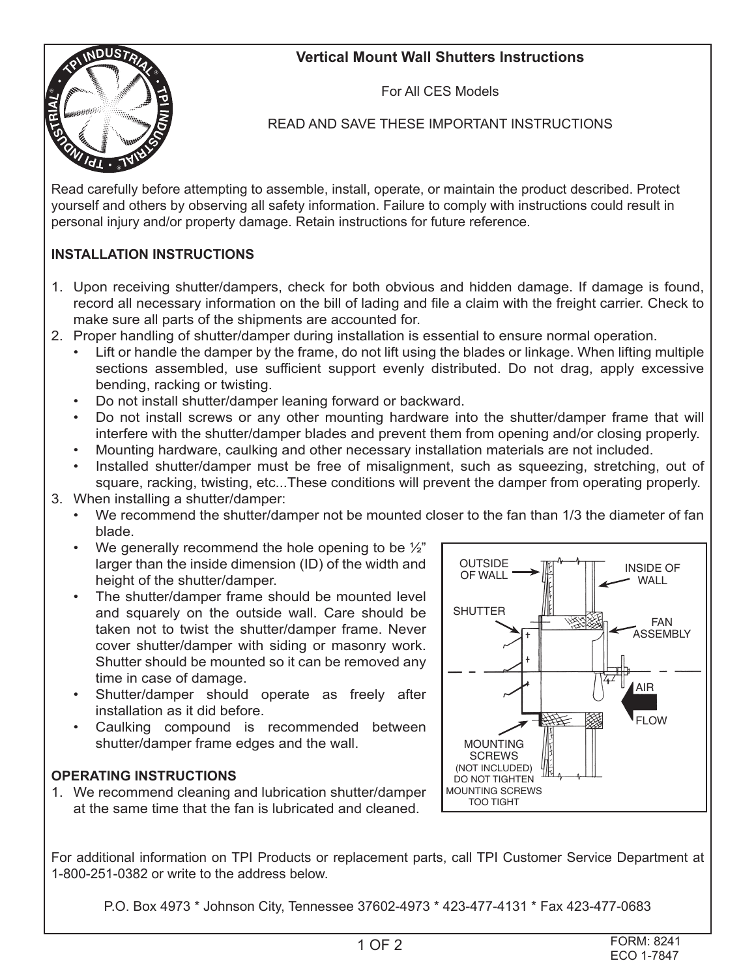## **Vertical Mount Wall Shutters Instructions**



For All CES Models

READ AND SAVE THESE IMPORTANT INSTRUCTIONS

Read carefully before attempting to assemble, install, operate, or maintain the product described. Protect yourself and others by observing all safety information. Failure to comply with instructions could result in personal injury and/or property damage. Retain instructions for future reference.

## **INSTALLATION INSTRUCTIONS**

- 1. Upon receiving shutter/dampers, check for both obvious and hidden damage. If damage is found, record all necessary information on the bill of lading and file a claim with the freight carrier. Check to make sure all parts of the shipments are accounted for.
- 2. Proper handling of shutter/damper during installation is essential to ensure normal operation.
	- Lift or handle the damper by the frame, do not lift using the blades or linkage. When lifting multiple sections assembled, use sufficient support evenly distributed. Do not drag, apply excessive bending, racking or twisting.
	- Do not install shutter/damper leaning forward or backward.
	- Do not install screws or any other mounting hardware into the shutter/damper frame that will interfere with the shutter/damper blades and prevent them from opening and/or closing properly.
	- Mounting hardware, caulking and other necessary installation materials are not included.
	- Installed shutter/damper must be free of misalignment, such as squeezing, stretching, out of square, racking, twisting, etc...These conditions will prevent the damper from operating properly.
- 3. When installing a shutter/damper:
	- We recommend the shutter/damper not be mounted closer to the fan than 1/3 the diameter of fan blade.
	- We generally recommend the hole opening to be  $\frac{1}{2}$ " larger than the inside dimension (ID) of the width and height of the shutter/damper.
	- The shutter/damper frame should be mounted level and squarely on the outside wall. Care should be taken not to twist the shutter/damper frame. Never cover shutter/damper with siding or masonry work. Shutter should be mounted so it can be removed any time in case of damage.
	- Shutter/damper should operate as freely after installation as it did before.
	- Caulking compound is recommended between shutter/damper frame edges and the wall.

## **OPERATING INSTRUCTIONS**

1. We recommend cleaning and lubrication shutter/damper at the same time that the fan is lubricated and cleaned.



For additional information on TPI Products or replacement parts, call TPI Customer Service Department at 1-800-251-0382 or write to the address below.

P.O. Box 4973 \* Johnson City, Tennessee 37602-4973 \* 423-477-4131 \* Fax 423-477-0683